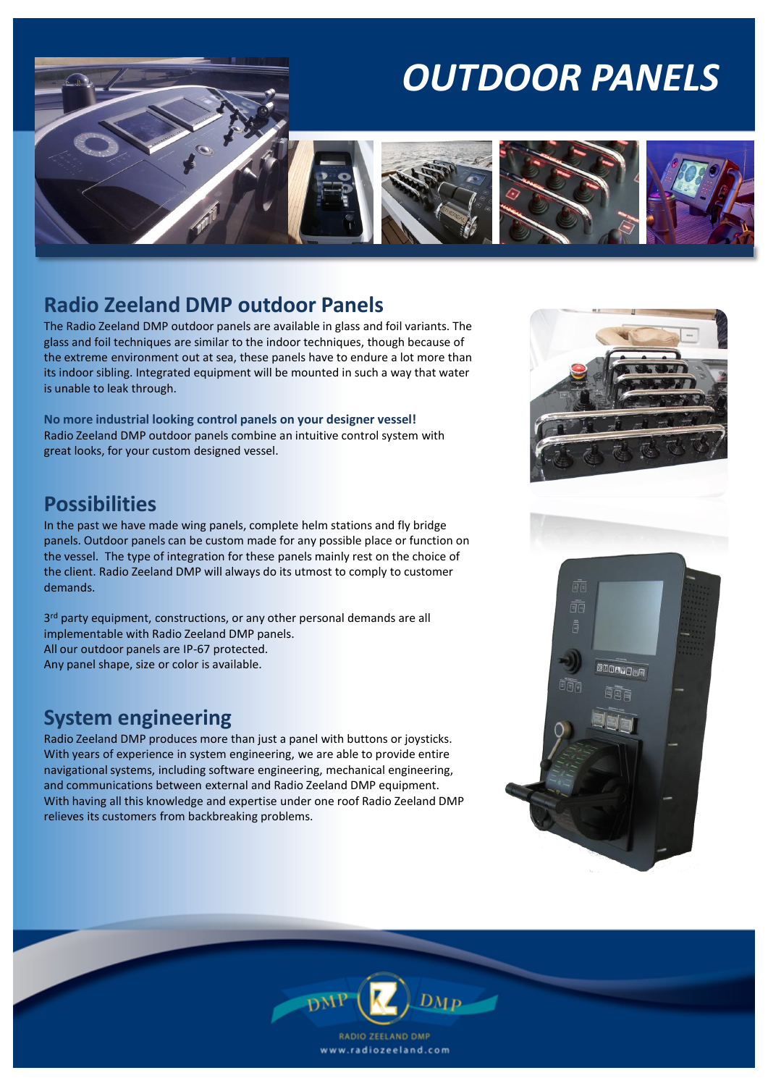## *OUTDOOR PANELS*



The Radio Zeeland DMP outdoor panels are available in glass and foil variants. The glass and foil techniques are similar to the indoor techniques, though because of the extreme environment out at sea, these panels have to endure a lot more than its indoor sibling. Integrated equipment will be mounted in such a way that water is unable to leak through.

**No more industrial looking control panels on your designer vessel!** Radio Zeeland DMP outdoor panels combine an intuitive control system with great looks, for your custom designed vessel.

#### **Possibilities**

In the past we have made wing panels, complete helm stations and fly bridge panels. Outdoor panels can be custom made for any possible place or function on the vessel. The type of integration for these panels mainly rest on the choice of the client. Radio Zeeland DMP will always do its utmost to comply to customer demands.

3 rd party equipment, constructions, or any other personal demands are all implementable with Radio Zeeland DMP panels. All our outdoor panels are IP-67 protected. Any panel shape, size or color is available.

#### **System engineering**

Radio Zeeland DMP produces more than just a panel with buttons or joysticks. With years of experience in system engineering, we are able to provide entire navigational systems, including software engineering, mechanical engineering, and communications between external and Radio Zeeland DMP equipment. With having all this knowledge and expertise under one roof Radio Zeeland DMP relieves its customers from backbreaking problems.